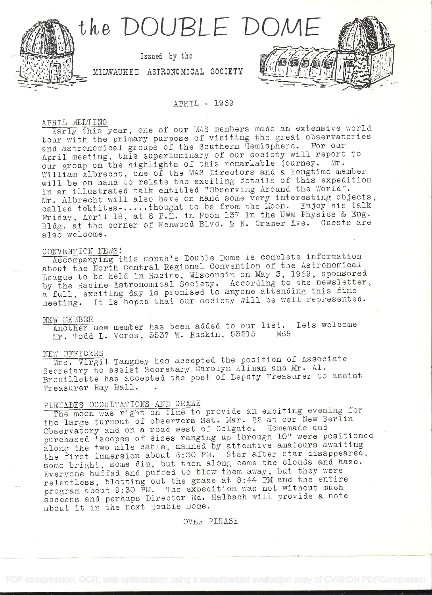

# APRIL - 1969

# APRIL MEETING

Early this year, one of our MAS members made an extensive world tour with the primary purpose of visiting the great observatories and astronomical groups of the Southern Temisphere. For our April meeting, this superluminary of our society will report to our group on the highlights of this remarkable journey. Mr. William Albrecht, one of the MAS Directors and a longtime member will be on hand to relate the exciting details of this expedition in an illustrated talk entitled "Observing Around the World". Mr. Albrecht will also have on hand some very interesting objects, called tektites -.....thought to be from the Moon. Enjoy his talk Friday, April 18, at 8 P.M. in Room 137 in the UWM Physics & Eng. Bldg. at the corner of Kenwood Blvd. & N. Cramer Ave. Guests are also welcome.

# CONVENTION NEWS!

Accompanying this month's Double Dome is complete information about the North Central Regional Convention of the Astronomical League to be held in Racine, Wisconsin on May 3, 1969, sponsored by the Racine Astronomical Society. According to the newsletter, a full, exciting day is promised to anyone attending this fine meeting. It is hoped that our society will be well represented.

# NEW MEMBER

Another new member has been added to our list. Lets welcome Mr. Todd L. Voros, 3537 W. Ruskin, 53215 M68

#### NEW OFFICERS

Mrs. Virgil Tangney has accepted the position of Associate Secretary to assist Secretary Carolyn Kliman and Mr. Al. Brouillette has accepted the post of Deputy Treasurer to assist Treasurer Ray Ball.

# PLEIADES OCCULTATIONS AND GRAZE

The moon was right on time to provide an exciting evening for the large turnout of observers Sat. Mar. 22 at our New Berlin Observatory and on a road west of Colgate. Homemade and purchased 'scopes of sizes ranging up through 10" were positioned along the two mile cable, manned by attentive amateurs awaiting the first immersion about 6:30 PM. Star after star disappeared, some bright, some dim, but then along came the clouds and haze. Everyone huffed and puffed to blow them away, but they were relentless, blotting out the graze at 8:44 PM and the entire program about 9:30 PM. The expedition was not without much success and perhaps Director Ed. Halbach will provide a note about it in the next pouble Dome.

OVER PLEASE